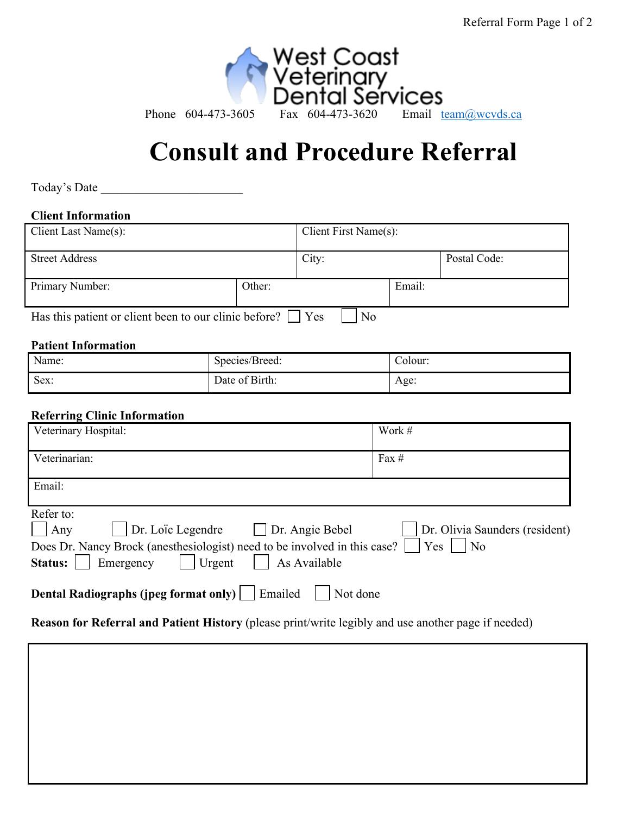

# **Consult and Procedure Referral**

Today's Date

## **Client Information**

| Client Last Name(s):                                               |        | Client First Name(s): |        |              |
|--------------------------------------------------------------------|--------|-----------------------|--------|--------------|
| <b>Street Address</b>                                              |        | City:                 |        | Postal Code: |
| Primary Number:                                                    | Other: |                       | Email: |              |
| Has this patient or client been to our clinic before?<br>No<br>Yes |        |                       |        |              |

#### **Patient Information**

| Name: | $\sqrt{2}$<br>Species/Breed: | -olour: |
|-------|------------------------------|---------|
| Sex:  | Date of Birth:               | Age:    |

### **Referring Clinic Information**

| Veterinary Hospital:                                                                                                                                                                                              | Work #                                                  |
|-------------------------------------------------------------------------------------------------------------------------------------------------------------------------------------------------------------------|---------------------------------------------------------|
| Veterinarian:                                                                                                                                                                                                     | Fax $#$                                                 |
| Email:                                                                                                                                                                                                            |                                                         |
| Refer to:<br>$\Box$ Dr. Loïc Legendre $\Box$ Dr. Angie Bebel<br>Any<br>Does Dr. Nancy Brock (anesthesiologist) need to be involved in this case?<br>Emergency<br>$\vert$ Urgent<br>As Available<br><b>Status:</b> | Dr. Olivia Saunders (resident)<br>Yes<br>N <sub>o</sub> |
| Emailed<br>Dental Radiographs (jpeg format only)<br>Not done                                                                                                                                                      |                                                         |

**Reason for Referral and Patient History** (please print/write legibly and use another page if needed)